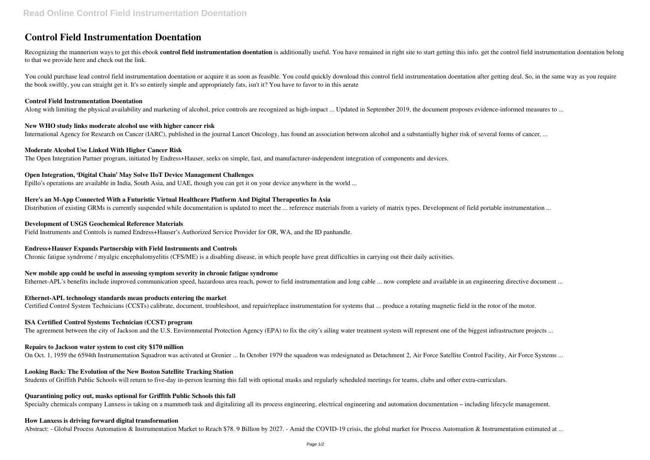# **Control Field Instrumentation Doentation**

Recognizing the mannerism ways to get this ebook control field instrumentation doentation is additionally useful. You have remained in right site to start getting this info. get the control field instrumentation doentation to that we provide here and check out the link.

You could purchase lead control field instrumentation doentation or acquire it as soon as feasible. You could quickly download this control field instrumentation doentation after getting deal. So, in the same way as you re the book swiftly, you can straight get it. It's so entirely simple and appropriately fats, isn't it? You have to favor to in this aerate

#### **Control Field Instrumentation Doentation**

Along with limiting the physical availability and marketing of alcohol, price controls are recognized as high-impact ... Updated in September 2019, the document proposes evidence-informed measures to ...

#### **New WHO study links moderate alcohol use with higher cancer risk**

International Agency for Research on Cancer (IARC), published in the journal Lancet Oncology, has found an association between alcohol and a substantially higher risk of several forms of cancer, ...

# **Moderate Alcohol Use Linked With Higher Cancer Risk**

The Open Integration Partner program, initiated by Endress+Hauser, seeks on simple, fast, and manufacturer-independent integration of components and devices.

# **Open Integration, 'Digital Chain' May Solve IIoT Device Management Challenges**

Epillo's operations are available in India, South Asia, and UAE, though you can get it on your device anywhere in the world ...

#### **Here's an M-App Connected With a Futuristic Virtual Healthcare Platform And Digital Therapeutics In Asia**

Distribution of existing GRMs is currently suspended while documentation is updated to meet the ... reference materials from a variety of matrix types. Development of field portable instrumentation ...

#### **Development of USGS Geochemical Reference Materials**

Field Instruments and Controls is named Endress+Hauser's Authorized Service Provider for OR, WA, and the ID panhandle.

# **Endress+Hauser Expands Partnership with Field Instruments and Controls**

Chronic fatigue syndrome / myalgic encephalomyelitis (CFS/ME) is a disabling disease, in which people have great difficulties in carrying out their daily activities.

# **New mobile app could be useful in assessing symptom severity in chronic fatigue syndrome**

Ethernet-APL's benefits include improved communication speed, hazardous area reach, power to field instrumentation and long cable ... now complete and available in an engineering directive document ...

#### **Ethernet-APL technology standards mean products entering the market**

Certified Control System Technicians (CCSTs) calibrate, document, troubleshoot, and repair/replace instrumentation for systems that ... produce a rotating magnetic field in the rotor of the motor.

#### **ISA Certified Control Systems Technician (CCST) program**

The agreement between the city of Jackson and the U.S. Environmental Protection Agency (EPA) to fix the city's ailing water treatment system will represent one of the biggest infrastructure projects ...

# **Repairs to Jackson water system to cost city \$170 million**

On Oct. 1, 1959 the 6594th Instrumentation Squadron was activated at Grenier ... In October 1979 the squadron was redesignated as Detachment 2, Air Force Satellite Control Facility, Air Force Systems ...

# **Looking Back: The Evolution of the New Boston Satellite Tracking Station**

Students of Griffith Public Schools will return to five-day in-person learning this fall with optional masks and regularly scheduled meetings for teams, clubs and other extra-curriculars.

#### **Quarantining policy out, masks optional for Griffith Public Schools this fall**

Specialty chemicals company Lanxess is taking on a mammoth task and digitalizing all its process engineering, electrical engineering and automation documentation – including lifecycle management.

#### **How Lanxess is driving forward digital transformation**

Abstract: - Global Process Automation & Instrumentation Market to Reach \$78. 9 Billion by 2027. - Amid the COVID-19 crisis, the global market for Process Automation & Instrumentation estimated at ...